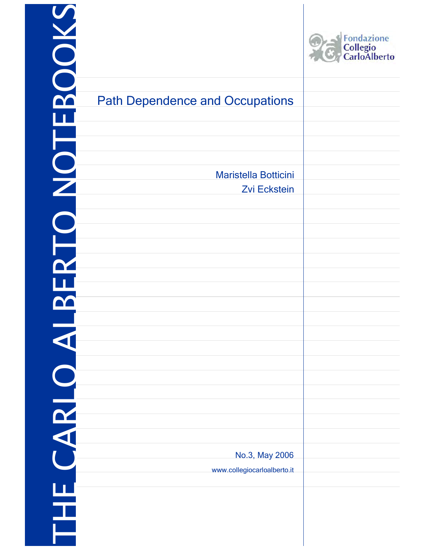|                                               | Fondazione<br>Collegio<br>CarloAlberto |
|-----------------------------------------------|----------------------------------------|
| Dependence and Occupations                    |                                        |
|                                               |                                        |
|                                               |                                        |
| Maristella Botticini                          |                                        |
| <b>Zvi Eckstein</b>                           |                                        |
|                                               |                                        |
|                                               |                                        |
|                                               |                                        |
|                                               |                                        |
|                                               |                                        |
|                                               |                                        |
|                                               |                                        |
|                                               |                                        |
|                                               |                                        |
|                                               |                                        |
|                                               |                                        |
|                                               |                                        |
| No.3, May 2006<br>www.collegiocarloalberto.it |                                        |
|                                               |                                        |
|                                               |                                        |
|                                               |                                        |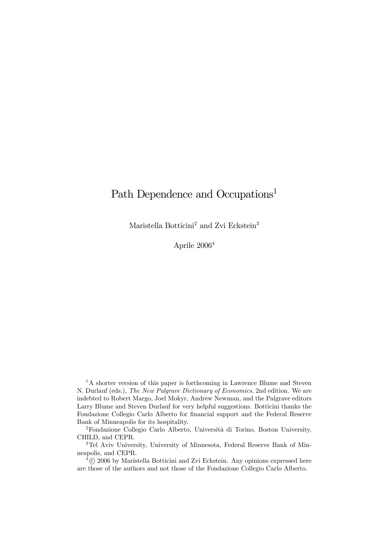# Path Dependence and Occupations<sup>1</sup>

Maristella Botticini<sup>2</sup> and Zvi Eckstein<sup>3</sup>

Aprile 20064

<sup>1</sup>A shorter version of this paper is forthcoming in Lawrence Blume and Steven N. Durlauf (eds.), The New Palgrave Dictionary of Economics, 2nd edition. We are indebted to Robert Margo, Joel Mokyr, Andrew Newman, and the Palgrave editors Larry Blume and Steven Durlauf for very helpful suggestions. Botticini thanks the Fondazione Collegio Carlo Alberto for financial support and the Federal Reserve Bank of Minneapolis for its hospitality.

2Fondazione Collegio Carlo Alberto, Università di Torino, Boston University, CHILD, and CEPR.

3Tel Aviv University, University of Minnesota, Federal Reserve Bank of Minneapolis, and CEPR.

 $4\textcircled{c}$  2006 by Maristella Botticini and Zvi Eckstein. Any opinions expressed here are those of the authors and not those of the Fondazione Collegio Carlo Alberto.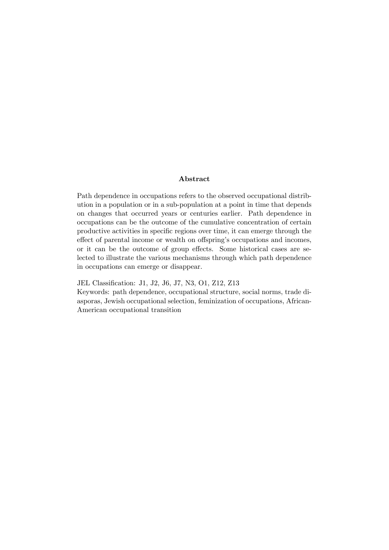#### Abstract

Path dependence in occupations refers to the observed occupational distribution in a population or in a sub-population at a point in time that depends on changes that occurred years or centuries earlier. Path dependence in occupations can be the outcome of the cumulative concentration of certain productive activities in specific regions over time, it can emerge through the effect of parental income or wealth on offspring's occupations and incomes, or it can be the outcome of group effects. Some historical cases are selected to illustrate the various mechanisms through which path dependence in occupations can emerge or disappear.

JEL Classification: J1, J2, J6, J7, N3, O1, Z12, Z13

Keywords: path dependence, occupational structure, social norms, trade diasporas, Jewish occupational selection, feminization of occupations, African-American occupational transition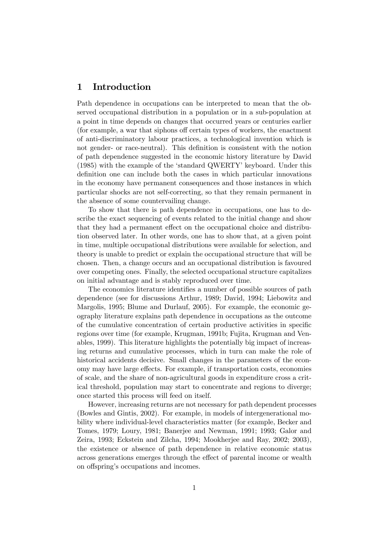#### 1 Introduction

Path dependence in occupations can be interpreted to mean that the observed occupational distribution in a population or in a sub-population at a point in time depends on changes that occurred years or centuries earlier (for example, a war that siphons off certain types of workers, the enactment of anti-discriminatory labour practices, a technological invention which is not gender- or race-neutral). This definition is consistent with the notion of path dependence suggested in the economic history literature by David (1985) with the example of the 'standard QWERTY' keyboard. Under this definition one can include both the cases in which particular innovations in the economy have permanent consequences and those instances in which particular shocks are not self-correcting, so that they remain permanent in the absence of some countervailing change.

To show that there is path dependence in occupations, one has to describe the exact sequencing of events related to the initial change and show that they had a permanent effect on the occupational choice and distribution observed later. In other words, one has to show that, at a given point in time, multiple occupational distributions were available for selection, and theory is unable to predict or explain the occupational structure that will be chosen. Then, a change occurs and an occupational distribution is favoured over competing ones. Finally, the selected occupational structure capitalizes on initial advantage and is stably reproduced over time.

The economics literature identifies a number of possible sources of path dependence (see for discussions Arthur, 1989; David, 1994; Liebowitz and Margolis, 1995; Blume and Durlauf, 2005). For example, the economic geography literature explains path dependence in occupations as the outcome of the cumulative concentration of certain productive activities in specific regions over time (for example, Krugman, 1991b; Fujita, Krugman and Venables, 1999). This literature highlights the potentially big impact of increasing returns and cumulative processes, which in turn can make the role of historical accidents decisive. Small changes in the parameters of the economy may have large effects. For example, if transportation costs, economies of scale, and the share of non-agricultural goods in expenditure cross a critical threshold, population may start to concentrate and regions to diverge; once started this process will feed on itself.

However, increasing returns are not necessary for path dependent processes (Bowles and Gintis, 2002). For example, in models of intergenerational mobility where individual-level characteristics matter (for example, Becker and Tomes, 1979; Loury, 1981; Banerjee and Newman, 1991; 1993; Galor and Zeira, 1993; Eckstein and Zilcha, 1994; Mookherjee and Ray, 2002; 2003), the existence or absence of path dependence in relative economic status across generations emerges through the effect of parental income or wealth on offspring's occupations and incomes.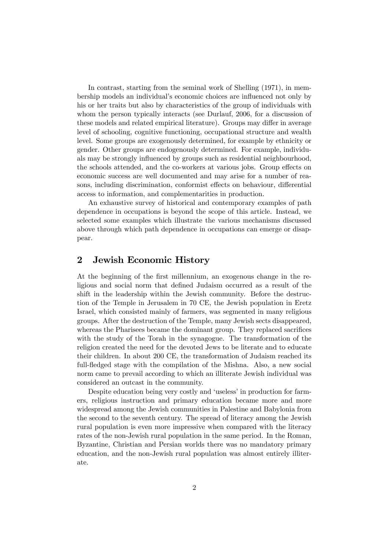In contrast, starting from the seminal work of Shelling (1971), in membership models an individual's economic choices are influenced not only by his or her traits but also by characteristics of the group of individuals with whom the person typically interacts (see Durlauf, 2006, for a discussion of these models and related empirical literature). Groups may differ in average level of schooling, cognitive functioning, occupational structure and wealth level. Some groups are exogenously determined, for example by ethnicity or gender. Other groups are endogenously determined. For example, individuals may be strongly influenced by groups such as residential neighbourhood, the schools attended, and the co-workers at various jobs. Group effects on economic success are well documented and may arise for a number of reasons, including discrimination, conformist effects on behaviour, differential access to information, and complementarities in production.

An exhaustive survey of historical and contemporary examples of path dependence in occupations is beyond the scope of this article. Instead, we selected some examples which illustrate the various mechanisms discussed above through which path dependence in occupations can emerge or disappear.

#### 2 Jewish Economic History

At the beginning of the first millennium, an exogenous change in the religious and social norm that defined Judaism occurred as a result of the shift in the leadership within the Jewish community. Before the destruction of the Temple in Jerusalem in 70 CE, the Jewish population in Eretz Israel, which consisted mainly of farmers, was segmented in many religious groups. After the destruction of the Temple, many Jewish sects disappeared, whereas the Pharisees became the dominant group. They replaced sacrifices with the study of the Torah in the synagogue. The transformation of the religion created the need for the devoted Jews to be literate and to educate their children. In about 200 CE, the transformation of Judaism reached its full-fledged stage with the compilation of the Mishna. Also, a new social norm came to prevail according to which an illiterate Jewish individual was considered an outcast in the community.

Despite education being very costly and 'useless' in production for farmers, religious instruction and primary education became more and more widespread among the Jewish communities in Palestine and Babylonia from the second to the seventh century. The spread of literacy among the Jewish rural population is even more impressive when compared with the literacy rates of the non-Jewish rural population in the same period. In the Roman, Byzantine, Christian and Persian worlds there was no mandatory primary education, and the non-Jewish rural population was almost entirely illiterate.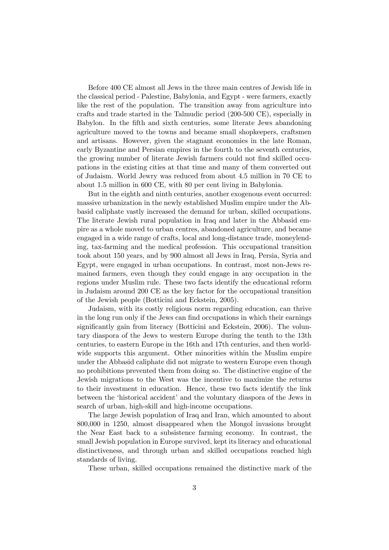Before 400 CE almost all Jews in the three main centres of Jewish life in the classical period - Palestine, Babylonia, and Egypt - were farmers, exactly like the rest of the population. The transition away from agriculture into crafts and trade started in the Talmudic period (200-500 CE), especially in Babylon. In the fifth and sixth centuries, some literate Jews abandoning agriculture moved to the towns and became small shopkeepers, craftsmen and artisans. However, given the stagnant economies in the late Roman, early Byzantine and Persian empires in the fourth to the seventh centuries, the growing number of literate Jewish farmers could not find skilled occupations in the existing cities at that time and many of them converted out of Judaism. World Jewry was reduced from about 4.5 million in 70 CE to about 1.5 million in 600 CE, with 80 per cent living in Babylonia.

But in the eighth and ninth centuries, another exogenous event occurred: massive urbanization in the newly established Muslim empire under the Abbasid caliphate vastly increased the demand for urban, skilled occupations. The literate Jewish rural population in Iraq and later in the Abbasid empire as a whole moved to urban centres, abandoned agriculture, and became engaged in a wide range of crafts, local and long-distance trade, moneylending, tax-farming and the medical profession. This occupational transition took about 150 years, and by 900 almost all Jews in Iraq, Persia, Syria and Egypt, were engaged in urban occupations. In contrast, most non-Jews remained farmers, even though they could engage in any occupation in the regions under Muslim rule. These two facts identify the educational reform in Judaism around 200 CE as the key factor for the occupational transition of the Jewish people (Botticini and Eckstein, 2005).

Judaism, with its costly religious norm regarding education, can thrive in the long run only if the Jews can find occupations in which their earnings significantly gain from literacy (Botticini and Eckstein, 2006). The voluntary diaspora of the Jews to western Europe during the tenth to the 13th centuries, to eastern Europe in the 16th and 17th centuries, and then worldwide supports this argument. Other minorities within the Muslim empire under the Abbasid caliphate did not migrate to western Europe even though no prohibitions prevented them from doing so. The distinctive engine of the Jewish migrations to the West was the incentive to maximize the returns to their investment in education. Hence, these two facts identify the link between the 'historical accident' and the voluntary diaspora of the Jews in search of urban, high-skill and high-income occupations.

The large Jewish population of Iraq and Iran, which amounted to about 800,000 in 1250, almost disappeared when the Mongol invasions brought the Near East back to a subsistence farming economy. In contrast, the small Jewish population in Europe survived, kept its literacy and educational distinctiveness, and through urban and skilled occupations reached high standards of living.

These urban, skilled occupations remained the distinctive mark of the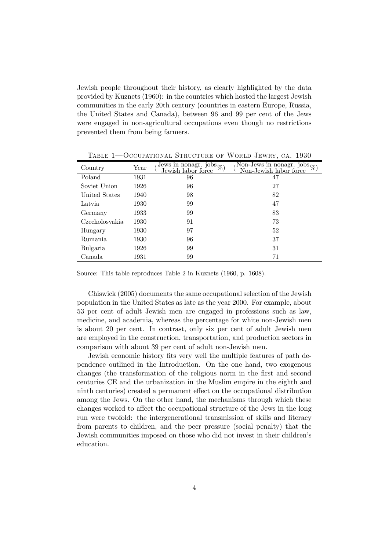Jewish people throughout their history, as clearly highlighted by the data provided by Kuznets (1960): in the countries which hosted the largest Jewish communities in the early 20th century (countries in eastern Europe, Russia, the United States and Canada), between 96 and 99 per cent of the Jews were engaged in non-agricultural occupations even though no restrictions prevented them from being farmers.

| Country        | Year | $\overline{\text{Jews in nonagr. jobs}}$ %)<br>orce<br>lewi | Non-Jews in nonagr. jobs <sub>o</sub><br>orce<br>Non-.lew |
|----------------|------|-------------------------------------------------------------|-----------------------------------------------------------|
| Poland         | 1931 | 96                                                          | 47                                                        |
| Soviet Union   | 1926 | 96                                                          | 27                                                        |
| United States  | 1940 | 98                                                          | 82                                                        |
| Latvia         | 1930 | 99                                                          | 47                                                        |
| Germany        | 1933 | 99                                                          | 83                                                        |
| Czecholosyakia | 1930 | 91                                                          | 73                                                        |
| Hungary        | 1930 | 97                                                          | 52                                                        |
| Rumania        | 1930 | 96                                                          | 37                                                        |
| Bulgaria       | 1926 | 99                                                          | 31                                                        |
| Canada         | 1931 | 99                                                          | 71                                                        |

TABLE 1–OCCUPATIONAL STRUCTURE OF WORLD JEWRY, CA. 1930

Source: This table reproduces Table 2 in Kuznets (1960, p. 1608).

Chiswick (2005) documents the same occupational selection of the Jewish population in the United States as late as the year 2000. For example, about 53 per cent of adult Jewish men are engaged in professions such as law, medicine, and academia, whereas the percentage for white non-Jewish men is about 20 per cent. In contrast, only six per cent of adult Jewish men are employed in the construction, transportation, and production sectors in comparison with about 39 per cent of adult non-Jewish men.

Jewish economic history fits very well the multiple features of path dependence outlined in the Introduction. On the one hand, two exogenous changes (the transformation of the religious norm in the first and second centuries CE and the urbanization in the Muslim empire in the eighth and ninth centuries) created a permanent effect on the occupational distribution among the Jews. On the other hand, the mechanisms through which these changes worked to affect the occupational structure of the Jews in the long run were twofold: the intergenerational transmission of skills and literacy from parents to children, and the peer pressure (social penalty) that the Jewish communities imposed on those who did not invest in their children's education.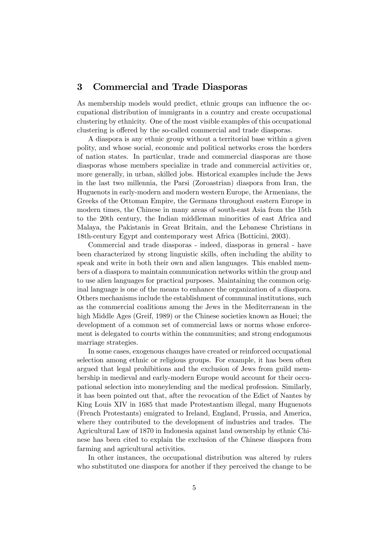#### 3 Commercial and Trade Diasporas

As membership models would predict, ethnic groups can influence the occupational distribution of immigrants in a country and create occupational clustering by ethnicity. One of the most visible examples of this occupational clustering is offered by the so-called commercial and trade diasporas.

A diaspora is any ethnic group without a territorial base within a given polity, and whose social, economic and political networks cross the borders of nation states. In particular, trade and commercial diasporas are those diasporas whose members specialize in trade and commercial activities or, more generally, in urban, skilled jobs. Historical examples include the Jews in the last two millennia, the Parsi (Zoroastrian) diaspora from Iran, the Huguenots in early-modern and modern western Europe, the Armenians, the Greeks of the Ottoman Empire, the Germans throughout eastern Europe in modern times, the Chinese in many areas of south-east Asia from the 15th to the 20th century, the Indian middleman minorities of east Africa and Malaya, the Pakistanis in Great Britain, and the Lebanese Christians in 18th-century Egypt and contemporary west Africa (Botticini, 2003).

Commercial and trade diasporas - indeed, diasporas in general - have been characterized by strong linguistic skills, often including the ability to speak and write in both their own and alien languages. This enabled members of a diaspora to maintain communication networks within the group and to use alien languages for practical purposes. Maintaining the common original language is one of the means to enhance the organization of a diaspora. Others mechanisms include the establishment of communal institutions, such as the commercial coalitions among the Jews in the Mediterranean in the high Middle Ages (Greif, 1989) or the Chinese societies known as Houei; the development of a common set of commercial laws or norms whose enforcement is delegated to courts within the communities; and strong endogamous marriage strategies.

In some cases, exogenous changes have created or reinforced occupational selection among ethnic or religious groups. For example, it has been often argued that legal prohibitions and the exclusion of Jews from guild membership in medieval and early-modern Europe would account for their occupational selection into moneylending and the medical profession. Similarly, it has been pointed out that, after the revocation of the Edict of Nantes by King Louis XIV in 1685 that made Protestantism illegal, many Huguenots (French Protestants) emigrated to Ireland, England, Prussia, and America, where they contributed to the development of industries and trades. The Agricultural Law of 1870 in Indonesia against land ownership by ethnic Chinese has been cited to explain the exclusion of the Chinese diaspora from farming and agricultural activities.

In other instances, the occupational distribution was altered by rulers who substituted one diaspora for another if they perceived the change to be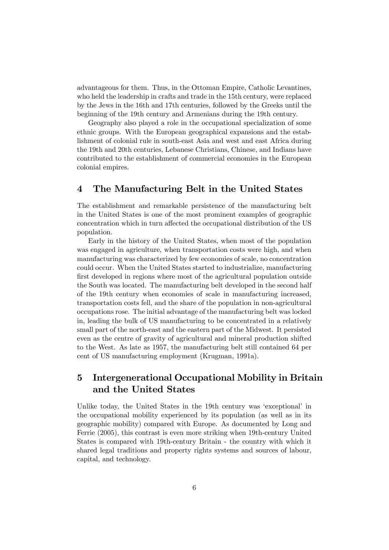advantageous for them. Thus, in the Ottoman Empire, Catholic Levantines, who held the leadership in crafts and trade in the 15th century, were replaced by the Jews in the 16th and 17th centuries, followed by the Greeks until the beginning of the 19th century and Armenians during the 19th century.

Geography also played a role in the occupational specialization of some ethnic groups. With the European geographical expansions and the establishment of colonial rule in south-east Asia and west and east Africa during the 19th and 20th centuries, Lebanese Christians, Chinese, and Indians have contributed to the establishment of commercial economies in the European colonial empires.

## 4 The Manufacturing Belt in the United States

The establishment and remarkable persistence of the manufacturing belt in the United States is one of the most prominent examples of geographic concentration which in turn affected the occupational distribution of the US population.

Early in the history of the United States, when most of the population was engaged in agriculture, when transportation costs were high, and when manufacturing was characterized by few economies of scale, no concentration could occur. When the United States started to industrialize, manufacturing first developed in regions where most of the agricultural population outside the South was located. The manufacturing belt developed in the second half of the 19th century when economies of scale in manufacturing increased, transportation costs fell, and the share of the population in non-agricultural occupations rose. The initial advantage of the manufacturing belt was locked in, leading the bulk of US manufacturing to be concentrated in a relatively small part of the north-east and the eastern part of the Midwest. It persisted even as the centre of gravity of agricultural and mineral production shifted to the West. As late as 1957, the manufacturing belt still contained 64 per cent of US manufacturing employment (Krugman, 1991a).

## 5 Intergenerational Occupational Mobility in Britain and the United States

Unlike today, the United States in the 19th century was 'exceptional' in the occupational mobility experienced by its population (as well as in its geographic mobility) compared with Europe. As documented by Long and Ferrie (2005), this contrast is even more striking when 19th-century United States is compared with 19th-century Britain - the country with which it shared legal traditions and property rights systems and sources of labour, capital, and technology.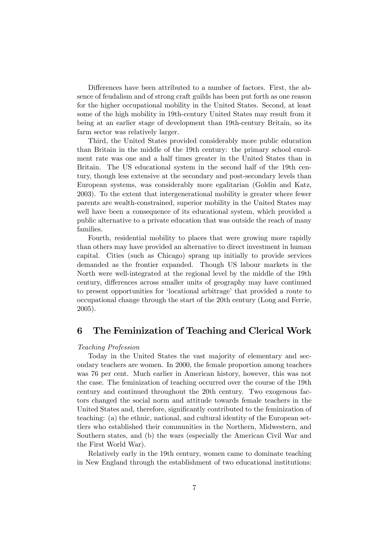Differences have been attributed to a number of factors. First, the absence of feudalism and of strong craft guilds has been put forth as one reason for the higher occupational mobility in the United States. Second, at least some of the high mobility in 19th-century United States may result from it being at an earlier stage of development than 19th-century Britain, so its farm sector was relatively larger.

Third, the United States provided considerably more public education than Britain in the middle of the 19th century: the primary school enrolment rate was one and a half times greater in the United States than in Britain. The US educational system in the second half of the 19th century, though less extensive at the secondary and post-secondary levels than European systems, was considerably more egalitarian (Goldin and Katz, 2003). To the extent that intergenerational mobility is greater where fewer parents are wealth-constrained, superior mobility in the United States may well have been a consequence of its educational system, which provided a public alternative to a private education that was outside the reach of many families.

Fourth, residential mobility to places that were growing more rapidly than others may have provided an alternative to direct investment in human capital. Cities (such as Chicago) sprang up initially to provide services demanded as the frontier expanded. Though US labour markets in the North were well-integrated at the regional level by the middle of the 19th century, differences across smaller units of geography may have continued to present opportunities for 'locational arbitrage' that provided a route to occupational change through the start of the 20th century (Long and Ferrie, 2005).

#### 6 The Feminization of Teaching and Clerical Work

#### Teaching Profession

Today in the United States the vast majority of elementary and secondary teachers are women. In 2000, the female proportion among teachers was 76 per cent. Much earlier in American history, however, this was not the case. The feminization of teaching occurred over the course of the 19th century and continued throughout the 20th century. Two exogenous factors changed the social norm and attitude towards female teachers in the United States and, therefore, significantly contributed to the feminization of teaching: (a) the ethnic, national, and cultural identity of the European settlers who established their communities in the Northern, Midwestern, and Southern states, and (b) the wars (especially the American Civil War and the First World War).

Relatively early in the 19th century, women came to dominate teaching in New England through the establishment of two educational institutions: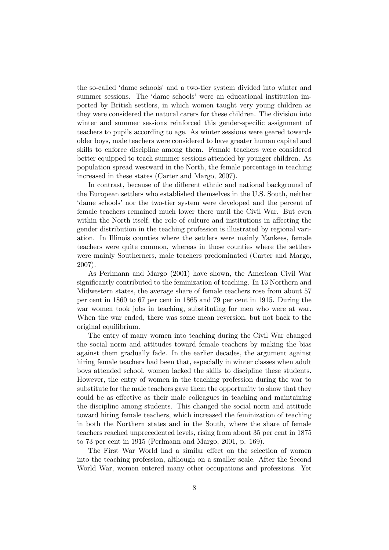the so-called 'dame schools' and a two-tier system divided into winter and summer sessions. The 'dame schools' were an educational institution imported by British settlers, in which women taught very young children as they were considered the natural carers for these children. The division into winter and summer sessions reinforced this gender-specific assignment of teachers to pupils according to age. As winter sessions were geared towards older boys, male teachers were considered to have greater human capital and skills to enforce discipline among them. Female teachers were considered better equipped to teach summer sessions attended by younger children. As population spread westward in the North, the female percentage in teaching increased in these states (Carter and Margo, 2007).

In contrast, because of the different ethnic and national background of the European settlers who established themselves in the U.S. South, neither 'dame schools' nor the two-tier system were developed and the percent of female teachers remained much lower there until the Civil War. But even within the North itself, the role of culture and institutions in affecting the gender distribution in the teaching profession is illustrated by regional variation. In Illinois counties where the settlers were mainly Yankees, female teachers were quite common, whereas in those counties where the settlers were mainly Southerners, male teachers predominated (Carter and Margo, 2007).

As Perlmann and Margo (2001) have shown, the American Civil War significantly contributed to the feminization of teaching. In 13 Northern and Midwestern states, the average share of female teachers rose from about 57 per cent in 1860 to 67 per cent in 1865 and 79 per cent in 1915. During the war women took jobs in teaching, substituting for men who were at war. When the war ended, there was some mean reversion, but not back to the original equilibrium.

The entry of many women into teaching during the Civil War changed the social norm and attitudes toward female teachers by making the bias against them gradually fade. In the earlier decades, the argument against hiring female teachers had been that, especially in winter classes when adult boys attended school, women lacked the skills to discipline these students. However, the entry of women in the teaching profession during the war to substitute for the male teachers gave them the opportunity to show that they could be as effective as their male colleagues in teaching and maintaining the discipline among students. This changed the social norm and attitude toward hiring female teachers, which increased the feminization of teaching in both the Northern states and in the South, where the share of female teachers reached unprecedented levels, rising from about 35 per cent in 1875 to 73 per cent in 1915 (Perlmann and Margo, 2001, p. 169).

The First War World had a similar effect on the selection of women into the teaching profession, although on a smaller scale. After the Second World War, women entered many other occupations and professions. Yet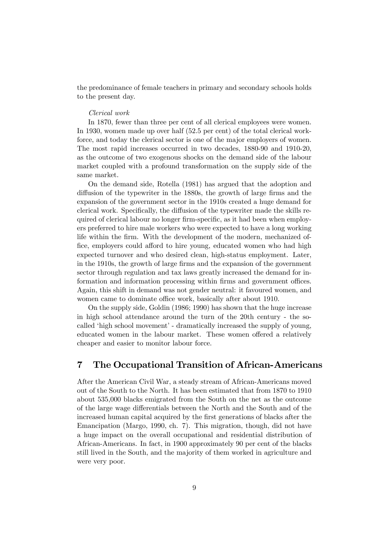the predominance of female teachers in primary and secondary schools holds to the present day.

#### Clerical work

In 1870, fewer than three per cent of all clerical employees were women. In 1930, women made up over half (52.5 per cent) of the total clerical workforce, and today the clerical sector is one of the major employers of women. The most rapid increases occurred in two decades, 1880-90 and 1910-20, as the outcome of two exogenous shocks on the demand side of the labour market coupled with a profound transformation on the supply side of the same market.

On the demand side, Rotella (1981) has argued that the adoption and diffusion of the typewriter in the 1880s, the growth of large firms and the expansion of the government sector in the 1910s created a huge demand for clerical work. Specifically, the diffusion of the typewriter made the skills required of clerical labour no longer firm-specific, as it had been when employers preferred to hire male workers who were expected to have a long working life within the firm. With the development of the modern, mechanized office, employers could afford to hire young, educated women who had high expected turnover and who desired clean, high-status employment. Later, in the 1910s, the growth of large firms and the expansion of the government sector through regulation and tax laws greatly increased the demand for information and information processing within firms and government offices. Again, this shift in demand was not gender neutral: it favoured women, and women came to dominate office work, basically after about 1910.

On the supply side, Goldin (1986; 1990) has shown that the huge increase in high school attendance around the turn of the 20th century - the socalled 'high school movement' - dramatically increased the supply of young, educated women in the labour market. These women offered a relatively cheaper and easier to monitor labour force.

#### 7 The Occupational Transition of African-Americans

After the American Civil War, a steady stream of African-Americans moved out of the South to the North. It has been estimated that from 1870 to 1910 about 535,000 blacks emigrated from the South on the net as the outcome of the large wage differentials between the North and the South and of the increased human capital acquired by the first generations of blacks after the Emancipation (Margo, 1990, ch. 7). This migration, though, did not have a huge impact on the overall occupational and residential distribution of African-Americans. In fact, in 1900 approximately 90 per cent of the blacks still lived in the South, and the majority of them worked in agriculture and were very poor.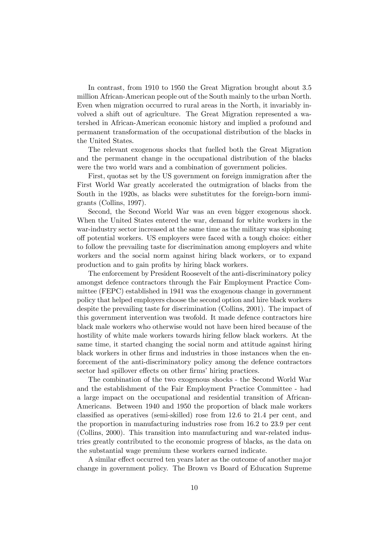In contrast, from 1910 to 1950 the Great Migration brought about 3.5 million African-American people out of the South mainly to the urban North. Even when migration occurred to rural areas in the North, it invariably involved a shift out of agriculture. The Great Migration represented a watershed in African-American economic history and implied a profound and permanent transformation of the occupational distribution of the blacks in the United States.

The relevant exogenous shocks that fuelled both the Great Migration and the permanent change in the occupational distribution of the blacks were the two world wars and a combination of government policies.

First, quotas set by the US government on foreign immigration after the First World War greatly accelerated the outmigration of blacks from the South in the 1920s, as blacks were substitutes for the foreign-born immigrants (Collins, 1997).

Second, the Second World War was an even bigger exogenous shock. When the United States entered the war, demand for white workers in the war-industry sector increased at the same time as the military was siphoning off potential workers. US employers were faced with a tough choice: either to follow the prevailing taste for discrimination among employers and white workers and the social norm against hiring black workers, or to expand production and to gain profits by hiring black workers.

The enforcement by President Roosevelt of the anti-discriminatory policy amongst defence contractors through the Fair Employment Practice Committee (FEPC) established in 1941 was the exogenous change in government policy that helped employers choose the second option and hire black workers despite the prevailing taste for discrimination (Collins, 2001). The impact of this government intervention was twofold. It made defence contractors hire black male workers who otherwise would not have been hired because of the hostility of white male workers towards hiring fellow black workers. At the same time, it started changing the social norm and attitude against hiring black workers in other firms and industries in those instances when the enforcement of the anti-discriminatory policy among the defence contractors sector had spillover effects on other firms' hiring practices.

The combination of the two exogenous shocks - the Second World War and the establishment of the Fair Employment Practice Committee - had a large impact on the occupational and residential transition of African-Americans. Between 1940 and 1950 the proportion of black male workers classified as operatives (semi-skilled) rose from 12.6 to 21.4 per cent, and the proportion in manufacturing industries rose from 16.2 to 23.9 per cent (Collins, 2000). This transition into manufacturing and war-related industries greatly contributed to the economic progress of blacks, as the data on the substantial wage premium these workers earned indicate.

A similar effect occurred ten years later as the outcome of another major change in government policy. The Brown vs Board of Education Supreme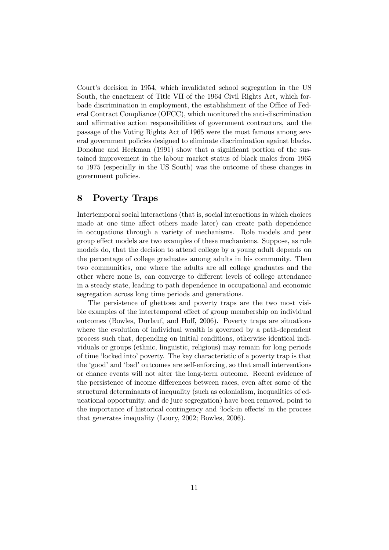Court's decision in 1954, which invalidated school segregation in the US South, the enactment of Title VII of the 1964 Civil Rights Act, which forbade discrimination in employment, the establishment of the Office of Federal Contract Compliance (OFCC), which monitored the anti-discrimination and affirmative action responsibilities of government contractors, and the passage of the Voting Rights Act of 1965 were the most famous among several government policies designed to eliminate discrimination against blacks. Donohue and Heckman (1991) show that a significant portion of the sustained improvement in the labour market status of black males from 1965 to 1975 (especially in the US South) was the outcome of these changes in government policies.

## 8 Poverty Traps

Intertemporal social interactions (that is, social interactions in which choices made at one time affect others made later) can create path dependence in occupations through a variety of mechanisms. Role models and peer group effect models are two examples of these mechanisms. Suppose, as role models do, that the decision to attend college by a young adult depends on the percentage of college graduates among adults in his community. Then two communities, one where the adults are all college graduates and the other where none is, can converge to different levels of college attendance in a steady state, leading to path dependence in occupational and economic segregation across long time periods and generations.

The persistence of ghettoes and poverty traps are the two most visible examples of the intertemporal effect of group membership on individual outcomes (Bowles, Durlauf, and Hoff, 2006). Poverty traps are situations where the evolution of individual wealth is governed by a path-dependent process such that, depending on initial conditions, otherwise identical individuals or groups (ethnic, linguistic, religious) may remain for long periods of time 'locked into' poverty. The key characteristic of a poverty trap is that the 'good' and 'bad' outcomes are self-enforcing, so that small interventions or chance events will not alter the long-term outcome. Recent evidence of the persistence of income differences between races, even after some of the structural determinants of inequality (such as colonialism, inequalities of educational opportunity, and de jure segregation) have been removed, point to the importance of historical contingency and 'lock-in effects' in the process that generates inequality (Loury, 2002; Bowles, 2006).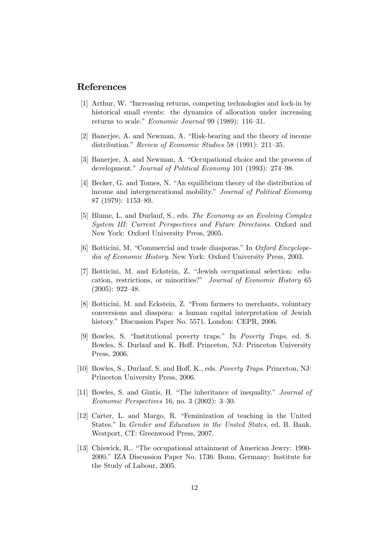#### References

- [1] Arthur, W. "Increasing returns, competing technologies and lock-in by historical small events: the dynamics of allocation under increasing returns to scale." Economic Journal 99 (1989): 116—31.
- [2] Banerjee, A. and Newman, A. "Risk-bearing and the theory of income distribution." Review of Economic Studies 58 (1991): 211—35.
- [3] Banerjee, A. and Newman, A. "Occupational choice and the process of development." Journal of Political Economy 101 (1993): 274—98.
- [4] Becker, G. and Tomes, N. "An equilibrium theory of the distribution of income and intergenerational mobility." Journal of Political Economy 87 (1979): 1153—89.
- [5] Blume, L. and Durlauf, S., eds. The Economy as an Evolving Complex System III: Current Perspectives and Future Directions. Oxford and New York: Oxford University Press, 2005.
- [6] Botticini, M. "Commercial and trade diasporas." In Oxford Encyclopedia of Economic History. New York: Oxford University Press, 2003.
- [7] Botticini, M. and Eckstein, Z. "Jewish occupational selection: education, restrictions, or minorities?" Journal of Economic History 65 (2005): 922—48.
- [8] Botticini, M. and Eckstein, Z. "From farmers to merchants, voluntary conversions and diaspora: a human capital interpretation of Jewish history." Discussion Paper No. 5571. London: CEPR, 2006.
- [9] Bowles, S. "Institutional poverty traps." In Poverty Traps, ed. S. Bowles, S. Durlauf and K. Hoff. Princeton, NJ: Princeton University Press, 2006.
- [10] Bowles, S., Durlauf, S. and Hoff, K., eds. Poverty Traps. Princeton, NJ: Princeton University Press, 2006.
- [11] Bowles, S. and Gintis, H. "The inheritance of inequality." Journal of Economic Perspectives 16, no. 3 (2002): 3—30.
- [12] Carter, L. and Margo, R. "Feminization of teaching in the United States." In Gender and Education in the United States, ed. B. Bank. Westport, CT: Greenwood Press, 2007.
- [13] Chiswick, R.. "The occupational attainment of American Jewry: 1990- 2000." IZA Discussion Paper No. 1736. Bonn, Germany: Institute for the Study of Labour, 2005.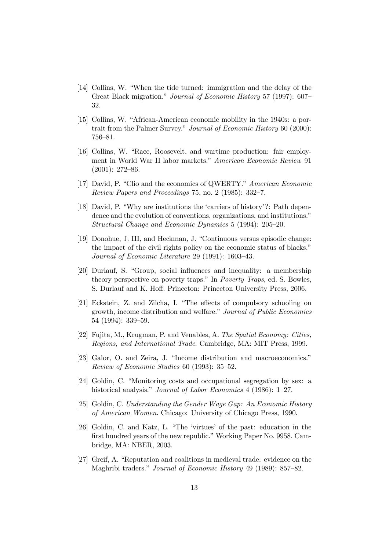- [14] Collins, W. "When the tide turned: immigration and the delay of the Great Black migration." Journal of Economic History 57 (1997): 607— 32.
- [15] Collins, W. "African-American economic mobility in the 1940s: a portrait from the Palmer Survey." Journal of Economic History 60 (2000): 756—81.
- [16] Collins, W. "Race, Roosevelt, and wartime production: fair employment in World War II labor markets." American Economic Review 91 (2001): 272—86.
- [17] David, P. "Clio and the economics of QWERTY." American Economic Review Papers and Proceedings 75, no. 2 (1985): 332—7.
- [18] David, P. "Why are institutions the 'carriers of history'?: Path dependence and the evolution of conventions, organizations, and institutions." Structural Change and Economic Dynamics 5 (1994): 205—20.
- [19] Donohue, J. III, and Heckman, J. "Continuous versus episodic change: the impact of the civil rights policy on the economic status of blacks." Journal of Economic Literature 29 (1991): 1603—43.
- [20] Durlauf, S. "Group, social influences and inequality: a membership theory perspective on poverty traps." In Poverty Traps, ed. S. Bowles, S. Durlauf and K. Hoff. Princeton: Princeton University Press, 2006.
- [21] Eckstein, Z. and Zilcha, I. "The effects of compulsory schooling on growth, income distribution and welfare." Journal of Public Economics 54 (1994): 339—59.
- [22] Fujita, M., Krugman, P. and Venables, A. The Spatial Economy: Cities, Regions, and International Trade. Cambridge, MA: MIT Press, 1999.
- [23] Galor, O. and Zeira, J. "Income distribution and macroeconomics." Review of Economic Studies 60 (1993): 35—52.
- [24] Goldin, C. "Monitoring costs and occupational segregation by sex: a historical analysis." *Journal of Labor Economics* 4 (1986): 1–27.
- [25] Goldin, C. Understanding the Gender Wage Gap: An Economic History of American Women. Chicago: University of Chicago Press, 1990.
- [26] Goldin, C. and Katz, L. "The 'virtues' of the past: education in the first hundred years of the new republic." Working Paper No. 9958. Cambridge, MA: NBER, 2003.
- [27] Greif, A. "Reputation and coalitions in medieval trade: evidence on the Maghribi traders." Journal of Economic History 49 (1989): 857—82.